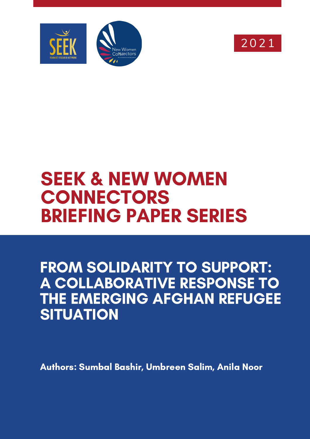



# SEEK & NEW WOMEN **CONNECTORS** BRIEFING PAPER SERIES

FROM SOLIDARITY TO SUPPORT: A COLLABORATIVE RESPONSE TO THE EMERGING AFGHAN REFUGEE **SITUATION** 

Authors: Sumbal Bashir, Umbreen Salim, Anila Noor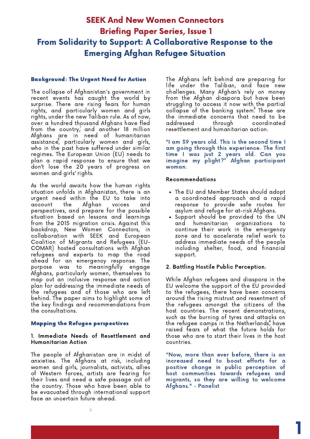# SEEK And New Women Connectors Briefing Paper Series, Issue 1 From Solidarity to Support: A Collaborative Response to the Emerging Afghan Refugee Situation

#### Background: The Urgent Need for Action

The collapse of Afghanistan's government in recent events has caught the world by surprise. There are rising fears for human rights, and particularly women and girls rights, under the new Taliban rule. As of now, over a hundred thousand Afghans have fled from the country, and another 18 million 1 Afghans are in need of humanitarian assistance, particularly women and girls, who in the past have suffered under similar regimes. The European Union (EU) needs to plan a rapid response to ensure that we don't lose the 20 years of progress on women and girls' rights.

As the world awaits how the human rights situation unfolds in Afghanistan, there is an urgent need within the EU to take into account the Afghan voices and perspectives, and prepare for the possible situation based on lessons and learnings from the 2015 migration crisis. Against this backdrop, New Women Connectors, in collaboration with SEEK and European Coalition of Migrants and Refugees (EU-COMAR) hosted consultations with Afghan refugees and experts to map the road ahead for an emergency response. The purpose was to meaningfully engage Afghans, particularly women, themselves to map out an inclusive response and action plan for addressing the immediate needs of the refugees and of those who are left behind. The paper aims to highlight some of the key findings and recommendations from the consultations.

#### Mapping the Refugee perspectives

#### 1. Immediate Needs of Resettlement and Humanitarian Action

The people of Afghanistan are in midst of anxieties. The Afghans at risk, including women and girls, journalists, activists, allies of Western forces, artists are fearing for their lives and need a safe passage out of the country. Those who have been able to be evacuated through international support face an uncertain future ahead.

The Afghans left behind are preparing for life under the Taliban, and face new challenges. Many Afghan's rely on money from the Afghan diaspora but have been struggling to access it now with the partial collapse of the banking system<sup>3</sup> These are the immediate concerns that need to be addressed through coordinated resettlement and humanitarian action.

"I am 39 years old. This is the second time I am going through this experience. The first time I was just 2 years old. Can you imagine my plight?" Afghan participant woman.

#### Recommendations

- The EU and Member States should adopt a coordinated approach and a rapid response to provide safe routes for asylum and refuge for at-risk Afghans.
- Support should be provided to the UN and humanitarian organizations to continue their work in the emergency zone and to accelerate relief work to address immediate needs of the people including shelter, food, and financial support.

#### 2. Battling Hostile Public Perception.

While Afghan refugees and diaspora in the EU welcome the support of the EU provided to the refugees, there have been concerns around the rising mistrust and resentment of the refugees amongst the citizens of the host countries. The recent demonstrations, such as the burning of tyres and attacks on the refugee camps in the Netherlands, have raised fears of what the future holds for those who are to start their lives in the host countries.

"Now, more than ever before, there is an increased need to boost efforts for a [positive](https://www.facebook.com/hashtag/positive?__eep__=6&__cft__[0]=AZXTkqheK6sB-qoyPEVM9JN-qu_aTPUgyPQUA-X5y6eGNxs02deeBmDfW-2FjJF3f3bzgPy5zEpny3CN-Gf5WUVdb5i3g0qUC2tIBPvUsBpB9QhNZco3Uo2sQh_aWmEmam2ol_wuHcAlv3wv-NZJYGv92c-gOMwowlgS0hDRsvNVZQ&__tn__=*NK-R) change in public perception of host communities towards [refugees](https://www.facebook.com/hashtag/refugees?__eep__=6&__cft__[0]=AZXTkqheK6sB-qoyPEVM9JN-qu_aTPUgyPQUA-X5y6eGNxs02deeBmDfW-2FjJF3f3bzgPy5zEpny3CN-Gf5WUVdb5i3g0qUC2tIBPvUsBpB9QhNZco3Uo2sQh_aWmEmam2ol_wuHcAlv3wv-NZJYGv92c-gOMwowlgS0hDRsvNVZQ&__tn__=*NK-R) and [migrants](https://www.facebook.com/hashtag/migrants?__eep__=6&__cft__[0]=AZXTkqheK6sB-qoyPEVM9JN-qu_aTPUgyPQUA-X5y6eGNxs02deeBmDfW-2FjJF3f3bzgPy5zEpny3CN-Gf5WUVdb5i3g0qUC2tIBPvUsBpB9QhNZco3Uo2sQh_aWmEmam2ol_wuHcAlv3wv-NZJYGv92c-gOMwowlgS0hDRsvNVZQ&__tn__=*NK-R), so they are willing to welcome [Afghans](https://www.facebook.com/hashtag/afghans?__eep__=6&__cft__[0]=AZXTkqheK6sB-qoyPEVM9JN-qu_aTPUgyPQUA-X5y6eGNxs02deeBmDfW-2FjJF3f3bzgPy5zEpny3CN-Gf5WUVdb5i3g0qUC2tIBPvUsBpB9QhNZco3Uo2sQh_aWmEmam2ol_wuHcAlv3wv-NZJYGv92c-gOMwowlgS0hDRsvNVZQ&__tn__=*NK-R)." - Panelist

1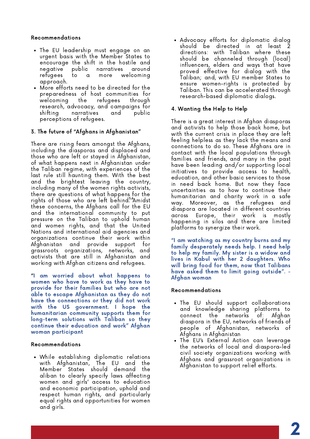#### Recommendations

- The EU leadership must engage on an urgent basis with the Member States to encourage the shift in the hostile and negative public narratives around refugees to a more welcoming approach.
- More efforts need to be directed for the preparedness of host communities for welcoming the refugees through research, advocacy, and campaigns for narratives perceptions of refugees.

#### 3. The future of "Afghans in Afghanistan"

There are rising fears amongst the Afghans, including the diasporas and displaced and those who are left or stayed in Afghanistan, of what happens next in Afghanistan under the Taliban regime, with experiences of the last rule still haunting them. With the best and the brightest leaving the country, including many of the women rights activists, there are questions of what happens for the rights of those who are left behind.<sup>5,6</sup>Amidst these concerns, the Afghans call for the EU and the international community to put pressure on the Taliban to uphold human and women rights, and that the United Nations and international aid agencies and organizations continue their work within Afghanistan and provide support for grassroots organizations, networks, and activists that are still in Afghanistan and working with Afghan citizens and refugees.

"I am worried about what happens to women who have to work as they have to provide for their families but who are not able to escape Afghanistan as they do not have the connections or they did not work with the US government. I hope the humanitarian community supports them for long-term solutions with Taliban so they continue their education and work" Afghan woman participant

#### Recommendations

While establishing diplomatic relations with Afghanistan, The EU and the Member States should demand the aliban to clearly specify laws affecting women and girls' access to education and economic participation, uphold and respect human rights, and particularly equal rights and opportunities for women and girls.

• Advocacy efforts for diplomatic dialog should be directed in at least directions: with Taliban where these should be channeled through (local) influencers, elders and ways that have proved effective for dialog with the Taliban; and, with EU member States to ensure women-rights is protected by Taliban. This can be accelerated through research-based diplomatic dialogs.

#### 4. Wanting the Help to Help

There is a great interest in Afghan diasporas and activists to help those back home, but with the current crisis in place they are left feeling helpless as they lack the means and connections to do so. These Afghans are in contact with the local populations through families and friends, and many in the past have been leading and/or supporting local initiatives to provide access to health, education, and other basic services to those in need back home. But now they face uncertainties as to how to continue their humanitarian and charity work in a safe way. Moreover, as the refugees and diaspora are located in different countries across Europe, their work is mostly happening in silos and there are limited platforms to synergize their work.

"I am watching as my country burns and my family desperately needs help. I need help to help my family. My sister is a widow and lives in Kabul with her 2 daughters. Who will bring food for them, now that Talibans have asked them to limit going outside". - Afghan woman

#### Recommendations

- The EU should support collaborations and knowledge sharing platforms to connect the networks of: Afghan diaspora in the EU, networks of friends of people of Afghanistan, networks of Afghans in Afghanistan
- The EU's External Action can leverage the networks of local and diaspora-led civil society organizations working with Afghans and grassroot organizations in Afghanistan to support relief efforts.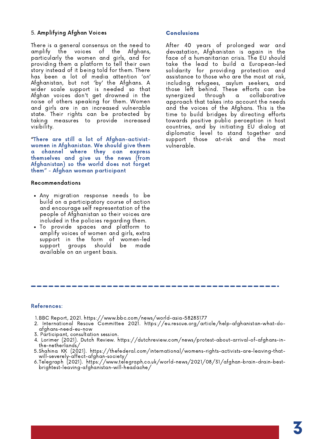#### 5. Amplifying Afghan Voices

There is a general consensus on the need to amplify the voices of the Afghans, particularly the women and girls, and for providing them a platform to tell their own story instead of it being told for them. There has been a lot of media attention 'on' Afghanistan, but not 'by' the Afghans. A wider scale support is needed so that Afghan voices don't get drowned in the noise of others speaking for them. Women and girls are in an increased vulnerable state. Their rights can be protected by taking measures to provide increased visibility.

"There are still a lot of Afghan-activistwomen in Afghanistan. We should give them a channel where they can express themselves and give us the news (from Afghanistan) so the world does not forget them" - Afghan woman participant

#### Recommendations

- Any migration response needs to be build on a participatory course of action and encourage self representation of the people of Afghanistan so their voices are included in the policies regarding them.
- To provide spaces and platform to amplify voices of women and girls, extra support in the form of women-led support groups should be made available on an urgent basis.

#### Conclusions

After 40 years of prolonged war and devastation, Afghanistan is again in the face of a humanitarian crisis. The EU should take the lead to build a European-led solidarity for providing protection and assistance to those who are the most at risk, including refugees, asylum seekers, and those left behind. These efforts can be synergized through a collaborative approach that takes into account the needs and the voices of the Afghans. This is the time to build bridges by directing efforts towards positive public perception in host countries, and by initiating EU dialog at diplomatic level to stand together and support those at-risk and the most vulnerable.

#### References:

- BBC Report, 2021. <https://www.bbc.com/news/world-asia-58283177> 1.
- International Rescue Committee 2021. [https://eu.rescue.org/article/help-afghanistan-what-do](https://eu.rescue.org/article/help-afghanistan-what-do-afghans-need-eu-now)afghans-need-eu-now 2.
- 3. Participant, consultation session.
- 4. Lorimer (2021). Dutch Review. https://dutchreview.com/news/protest-about-arrival-of-afghans-inthe-netherlands/
- 5.Shahina KK (2021). [https://thefederal.com/international/womens-rights-activists-are-leaving-that](https://thefederal.com/international/womens-rights-activists-are-leaving-that-will-severely-affect-afghan-society/)will-severely-affect-afghan-society/
- Telegraph (2021). https://www.telegraph.co.uk/world-news/2021/08/31/afghan-brain-drain-best-6. brightest-leaving-afghanistan-will-headache/